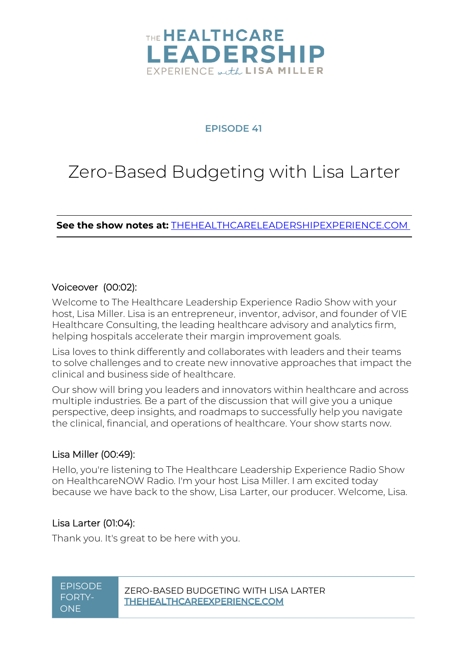

### **EPISODE 41**

# Zero-Based Budgeting with Lisa Larter

**See the show notes at:** [THEHEALTHCARELEADERSHIPEXPERIENCE.COM](https://www.thehealthcareleadershipexperience.com/)

#### Voiceover (00:02):

Welcome to The Healthcare Leadership Experience Radio Show with your host, Lisa Miller. Lisa is an entrepreneur, inventor, advisor, and founder of VIE Healthcare Consulting, the leading healthcare advisory and analytics firm, helping hospitals accelerate their margin improvement goals.

Lisa loves to think differently and collaborates with leaders and their teams to solve challenges and to create new innovative approaches that impact the clinical and business side of healthcare.

Our show will bring you leaders and innovators within healthcare and across multiple industries. Be a part of the discussion that will give you a unique perspective, deep insights, and roadmaps to successfully help you navigate the clinical, financial, and operations of healthcare. Your show starts now.

#### Lisa Miller (00:49):

Hello, you're listening to The Healthcare Leadership Experience Radio Show on HealthcareNOW Radio. I'm your host Lisa Miller. I am excited today because we have back to the show, Lisa Larter, our producer. Welcome, Lisa.

### Lisa Larter (01:04):

Thank you. It's great to be here with you.

FORTY-**ONE**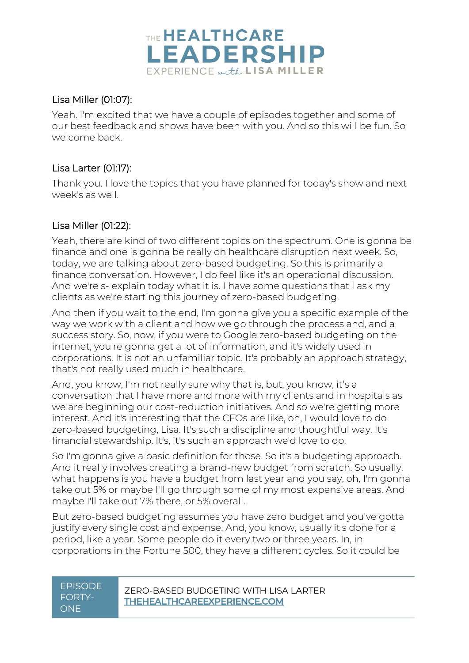

### Lisa Miller (01:07):

Yeah. I'm excited that we have a couple of episodes together and some of our best feedback and shows have been with you. And so this will be fun. So welcome back.

# Lisa Larter (01:17):

Thank you. I love the topics that you have planned for today's show and next week's as well.

# Lisa Miller (01:22):

Yeah, there are kind of two different topics on the spectrum. One is gonna be finance and one is gonna be really on healthcare disruption next week. So, today, we are talking about zero-based budgeting. So this is primarily a finance conversation. However, I do feel like it's an operational discussion. And we're s- explain today what it is. I have some questions that I ask my clients as we're starting this journey of zero-based budgeting.

And then if you wait to the end, I'm gonna give you a specific example of the way we work with a client and how we go through the process and, and a success story. So, now, if you were to Google zero-based budgeting on the internet, you're gonna get a lot of information, and it's widely used in corporations. It is not an unfamiliar topic. It's probably an approach strategy, that's not really used much in healthcare.

And, you know, I'm not really sure why that is, but, you know, it's a conversation that I have more and more with my clients and in hospitals as we are beginning our cost-reduction initiatives. And so we're getting more interest. And it's interesting that the CFOs are like, oh, I would love to do zero-based budgeting, Lisa. It's such a discipline and thoughtful way. It's financial stewardship. It's, it's such an approach we'd love to do.

So I'm gonna give a basic definition for those. So it's a budgeting approach. And it really involves creating a brand-new budget from scratch. So usually, what happens is you have a budget from last year and you say, oh, I'm gonna take out 5% or maybe I'll go through some of my most expensive areas. And maybe I'll take out 7% there, or 5% overall.

But zero-based budgeting assumes you have zero budget and you've gotta justify every single cost and expense. And, you know, usually it's done for a period, like a year. Some people do it every two or three years. In, in corporations in the Fortune 500, they have a different cycles. So it could be

# FORTY-**ONE**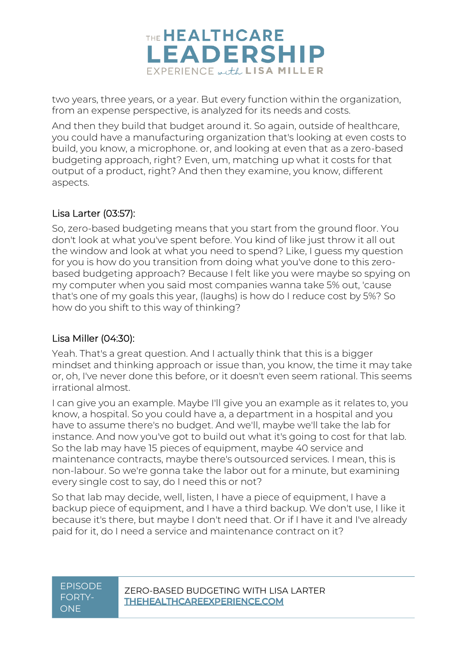

two years, three years, or a year. But every function within the organization, from an expense perspective, is analyzed for its needs and costs.

And then they build that budget around it. So again, outside of healthcare, you could have a manufacturing organization that's looking at even costs to build, you know, a microphone. or, and looking at even that as a zero-based budgeting approach, right? Even, um, matching up what it costs for that output of a product, right? And then they examine, you know, different aspects.

### Lisa Larter (03:57):

So, zero-based budgeting means that you start from the ground floor. You don't look at what you've spent before. You kind of like just throw it all out the window and look at what you need to spend? Like, I guess my question for you is how do you transition from doing what you've done to this zerobased budgeting approach? Because I felt like you were maybe so spying on my computer when you said most companies wanna take 5% out, 'cause that's one of my goals this year, (laughs) is how do I reduce cost by 5%? So how do you shift to this way of thinking?

### Lisa Miller (04:30):

Yeah. That's a great question. And I actually think that this is a bigger mindset and thinking approach or issue than, you know, the time it may take or, oh, I've never done this before, or it doesn't even seem rational. This seems irrational almost.

I can give you an example. Maybe I'll give you an example as it relates to, you know, a hospital. So you could have a, a department in a hospital and you have to assume there's no budget. And we'll, maybe we'll take the lab for instance. And now you've got to build out what it's going to cost for that lab. So the lab may have 15 pieces of equipment, maybe 40 service and maintenance contracts, maybe there's outsourced services. I mean, this is non-labour. So we're gonna take the labor out for a minute, but examining every single cost to say, do I need this or not?

So that lab may decide, well, listen, I have a piece of equipment, I have a backup piece of equipment, and I have a third backup. We don't use, I like it because it's there, but maybe I don't need that. Or if I have it and I've already paid for it, do I need a service and maintenance contract on it?

# FORTY-**ONE**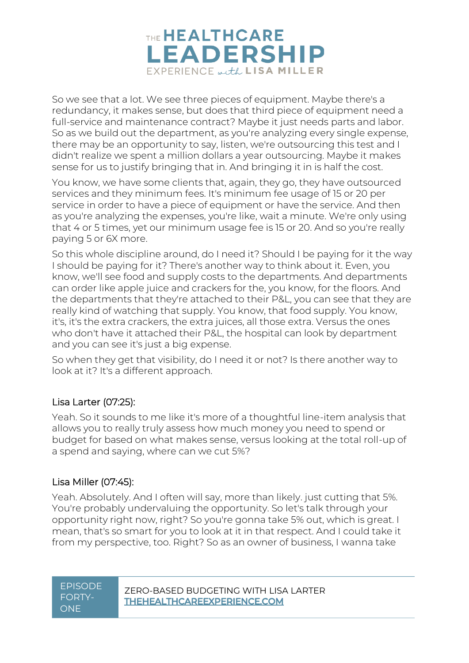

So we see that a lot. We see three pieces of equipment. Maybe there's a redundancy, it makes sense, but does that third piece of equipment need a full-service and maintenance contract? Maybe it just needs parts and labor. So as we build out the department, as you're analyzing every single expense, there may be an opportunity to say, listen, we're outsourcing this test and I didn't realize we spent a million dollars a year outsourcing. Maybe it makes sense for us to justify bringing that in. And bringing it in is half the cost.

You know, we have some clients that, again, they go, they have outsourced services and they minimum fees. It's minimum fee usage of 15 or 20 per service in order to have a piece of equipment or have the service. And then as you're analyzing the expenses, you're like, wait a minute. We're only using that 4 or 5 times, yet our minimum usage fee is 15 or 20. And so you're really paying 5 or 6X more.

So this whole discipline around, do I need it? Should I be paying for it the way I should be paying for it? There's another way to think about it. Even, you know, we'll see food and supply costs to the departments. And departments can order like apple juice and crackers for the, you know, for the floors. And the departments that they're attached to their P&L, you can see that they are really kind of watching that supply. You know, that food supply. You know, it's, it's the extra crackers, the extra juices, all those extra. Versus the ones who don't have it attached their P&L, the hospital can look by department and you can see it's just a big expense.

So when they get that visibility, do I need it or not? Is there another way to look at it? It's a different approach.

# Lisa Larter (07:25):

Yeah. So it sounds to me like it's more of a thoughtful line-item analysis that allows you to really truly assess how much money you need to spend or budget for based on what makes sense, versus looking at the total roll-up of a spend and saying, where can we cut 5%?

### Lisa Miller (07:45):

Yeah. Absolutely. And I often will say, more than likely. just cutting that 5%. You're probably undervaluing the opportunity. So let's talk through your opportunity right now, right? So you're gonna take 5% out, which is great. I mean, that's so smart for you to look at it in that respect. And I could take it from my perspective, too. Right? So as an owner of business, I wanna take

# FORTY-**ONE**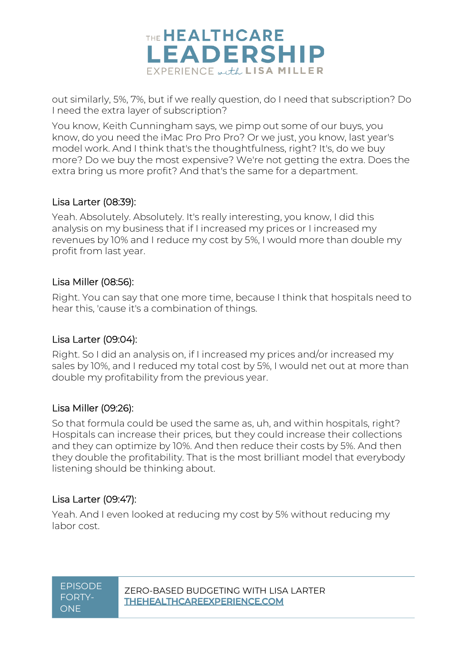

out similarly, 5%, 7%, but if we really question, do I need that subscription? Do I need the extra layer of subscription?

You know, Keith Cunningham says, we pimp out some of our buys, you know, do you need the iMac Pro Pro Pro? Or we just, you know, last year's model work. And I think that's the thoughtfulness, right? It's, do we buy more? Do we buy the most expensive? We're not getting the extra. Does the extra bring us more profit? And that's the same for a department.

### Lisa Larter (08:39):

Yeah. Absolutely. Absolutely. It's really interesting, you know, I did this analysis on my business that if I increased my prices or I increased my revenues by 10% and I reduce my cost by 5%, I would more than double my profit from last year.

### Lisa Miller (08:56):

Right. You can say that one more time, because I think that hospitals need to hear this, 'cause it's a combination of things.

### Lisa Larter (09:04):

Right. So I did an analysis on, if I increased my prices and/or increased my sales by 10%, and I reduced my total cost by 5%, I would net out at more than double my profitability from the previous year.

### Lisa Miller (09:26):

So that formula could be used the same as, uh, and within hospitals, right? Hospitals can increase their prices, but they could increase their collections and they can optimize by 10%. And then reduce their costs by 5%. And then they double the profitability. That is the most brilliant model that everybody listening should be thinking about.

### Lisa Larter (09:47):

Yeah. And I even looked at reducing my cost by 5% without reducing my labor cost.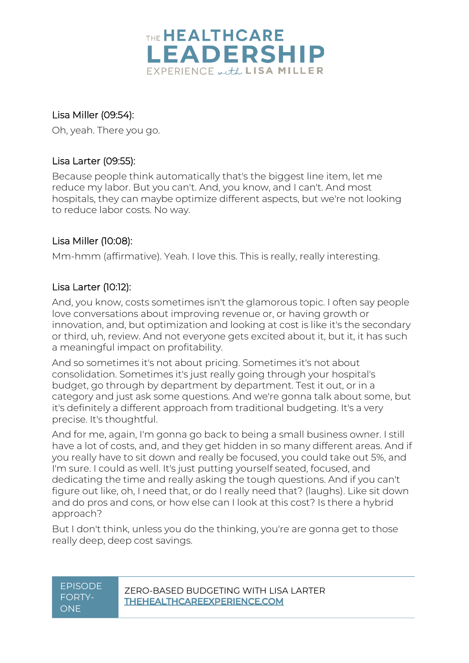

# Lisa Miller (09:54):

Oh, yeah. There you go.

# Lisa Larter (09:55):

Because people think automatically that's the biggest line item, let me reduce my labor. But you can't. And, you know, and I can't. And most hospitals, they can maybe optimize different aspects, but we're not looking to reduce labor costs. No way.

### Lisa Miller (10:08):

Mm-hmm (affirmative). Yeah. I love this. This is really, really interesting.

### Lisa Larter (10:12):

And, you know, costs sometimes isn't the glamorous topic. I often say people love conversations about improving revenue or, or having growth or innovation, and, but optimization and looking at cost is like it's the secondary or third, uh, review. And not everyone gets excited about it, but it, it has such a meaningful impact on profitability.

And so sometimes it's not about pricing. Sometimes it's not about consolidation. Sometimes it's just really going through your hospital's budget, go through by department by department. Test it out, or in a category and just ask some questions. And we're gonna talk about some, but it's definitely a different approach from traditional budgeting. It's a very precise. It's thoughtful.

And for me, again, I'm gonna go back to being a small business owner. I still have a lot of costs, and, and they get hidden in so many different areas. And if you really have to sit down and really be focused, you could take out 5%, and I'm sure. I could as well. It's just putting yourself seated, focused, and dedicating the time and really asking the tough questions. And if you can't figure out like, oh, I need that, or do I really need that? (laughs). Like sit down and do pros and cons, or how else can I look at this cost? Is there a hybrid approach?

But I don't think, unless you do the thinking, you're are gonna get to those really deep, deep cost savings.

| <u>EPISODE</u> |
|----------------|
| <b>FORTY-</b>  |
| ONE            |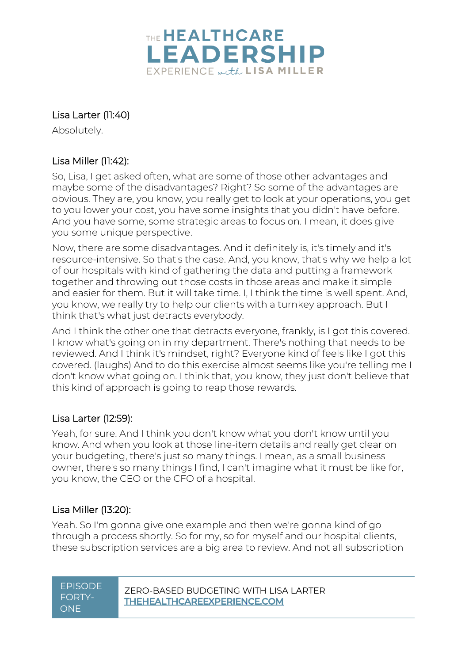

# Lisa Larter (11:40)

Absolutely.

# Lisa Miller (11:42):

So, Lisa, I get asked often, what are some of those other advantages and maybe some of the disadvantages? Right? So some of the advantages are obvious. They are, you know, you really get to look at your operations, you get to you lower your cost, you have some insights that you didn't have before. And you have some, some strategic areas to focus on. I mean, it does give you some unique perspective.

Now, there are some disadvantages. And it definitely is, it's timely and it's resource-intensive. So that's the case. And, you know, that's why we help a lot of our hospitals with kind of gathering the data and putting a framework together and throwing out those costs in those areas and make it simple and easier for them. But it will take time. I, I think the time is well spent. And, you know, we really try to help our clients with a turnkey approach. But I think that's what just detracts everybody.

And I think the other one that detracts everyone, frankly, is I got this covered. I know what's going on in my department. There's nothing that needs to be reviewed. And I think it's mindset, right? Everyone kind of feels like I got this covered. (laughs) And to do this exercise almost seems like you're telling me I don't know what going on. I think that, you know, they just don't believe that this kind of approach is going to reap those rewards.

# Lisa Larter (12:59):

Yeah, for sure. And I think you don't know what you don't know until you know. And when you look at those line-item details and really get clear on your budgeting, there's just so many things. I mean, as a small business owner, there's so many things I find, I can't imagine what it must be like for, you know, the CEO or the CFO of a hospital.

# Lisa Miller (13:20):

Yeah. So I'm gonna give one example and then we're gonna kind of go through a process shortly. So for my, so for myself and our hospital clients, these subscription services are a big area to review. And not all subscription

| <b>EPISODE</b> |
|----------------|
| FORTY-         |
| ONE            |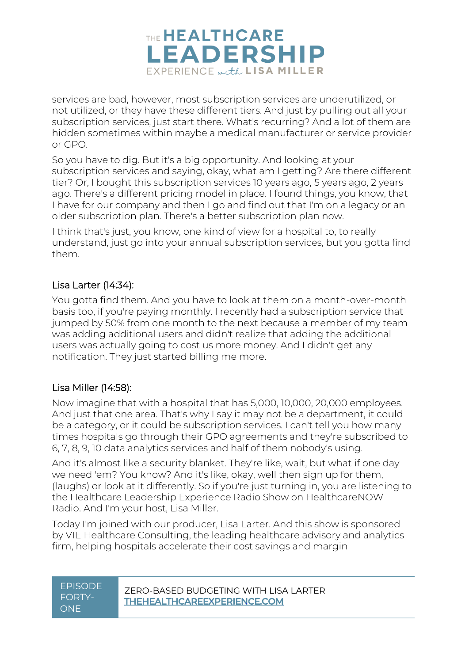

services are bad, however, most subscription services are underutilized, or not utilized, or they have these different tiers. And just by pulling out all your subscription services, just start there. What's recurring? And a lot of them are hidden sometimes within maybe a medical manufacturer or service provider or GPO.

So you have to dig. But it's a big opportunity. And looking at your subscription services and saying, okay, what am I getting? Are there different tier? Or, I bought this subscription services 10 years ago, 5 years ago, 2 years ago. There's a different pricing model in place. I found things, you know, that I have for our company and then I go and find out that I'm on a legacy or an older subscription plan. There's a better subscription plan now.

I think that's just, you know, one kind of view for a hospital to, to really understand, just go into your annual subscription services, but you gotta find them.

# Lisa Larter (14:34):

You gotta find them. And you have to look at them on a month-over-month basis too, if you're paying monthly. I recently had a subscription service that jumped by 50% from one month to the next because a member of my team was adding additional users and didn't realize that adding the additional users was actually going to cost us more money. And I didn't get any notification. They just started billing me more.

### Lisa Miller (14:58):

Now imagine that with a hospital that has 5,000, 10,000, 20,000 employees. And just that one area. That's why I say it may not be a department, it could be a category, or it could be subscription services. I can't tell you how many times hospitals go through their GPO agreements and they're subscribed to 6, 7, 8, 9, 10 data analytics services and half of them nobody's using.

And it's almost like a security blanket. They're like, wait, but what if one day we need 'em? You know? And it's like, okay, well then sign up for them, (laughs) or look at it differently. So if you're just turning in, you are listening to the Healthcare Leadership Experience Radio Show on HealthcareNOW Radio. And I'm your host, Lisa Miller.

Today I'm joined with our producer, Lisa Larter. And this show is sponsored by VIE Healthcare Consulting, the leading healthcare advisory and analytics firm, helping hospitals accelerate their cost savings and margin

| <b>EPISODE</b><br>FORTY-<br><b>ONF</b> | ZERO-BASED BUDGETING WITH LISA LARTER<br><b>THEHEALTHCAREEXPERIENCE.COM</b> |
|----------------------------------------|-----------------------------------------------------------------------------|
|----------------------------------------|-----------------------------------------------------------------------------|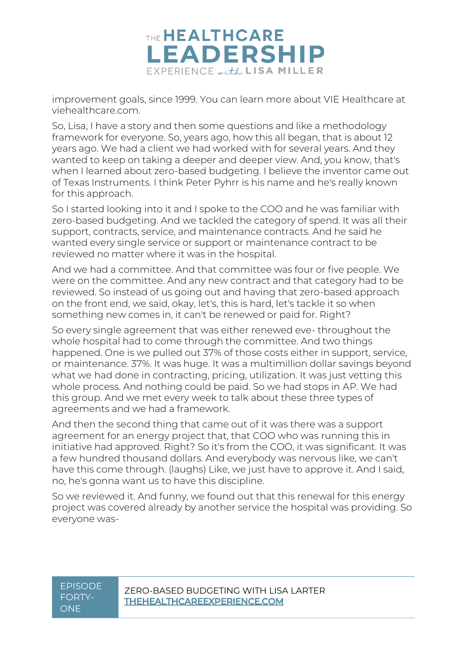

improvement goals, since 1999. You can learn more about VIE Healthcare at viehealthcare.com.

So, Lisa, I have a story and then some questions and like a methodology framework for everyone. So, years ago, how this all began, that is about 12 years ago. We had a client we had worked with for several years. And they wanted to keep on taking a deeper and deeper view. And, you know, that's when I learned about zero-based budgeting. I believe the inventor came out of Texas Instruments. I think Peter Pyhrr is his name and he's really known for this approach.

So I started looking into it and I spoke to the COO and he was familiar with zero-based budgeting. And we tackled the category of spend. It was all their support, contracts, service, and maintenance contracts. And he said he wanted every single service or support or maintenance contract to be reviewed no matter where it was in the hospital.

And we had a committee. And that committee was four or five people. We were on the committee. And any new contract and that category had to be reviewed. So instead of us going out and having that zero-based approach on the front end, we said, okay, let's, this is hard, let's tackle it so when something new comes in, it can't be renewed or paid for. Right?

So every single agreement that was either renewed eve- throughout the whole hospital had to come through the committee. And two things happened. One is we pulled out 37% of those costs either in support, service, or maintenance. 37%. It was huge. It was a multimillion dollar savings beyond what we had done in contracting, pricing, utilization. It was just vetting this whole process. And nothing could be paid. So we had stops in AP. We had this group. And we met every week to talk about these three types of agreements and we had a framework.

And then the second thing that came out of it was there was a support agreement for an energy project that, that COO who was running this in initiative had approved. Right? So it's from the COO, it was significant. It was a few hundred thousand dollars. And everybody was nervous like, we can't have this come through. (laughs) Like, we just have to approve it. And I said, no, he's gonna want us to have this discipline.

So we reviewed it. And funny, we found out that this renewal for this energy project was covered already by another service the hospital was providing. So everyone was-

# FORTY-**ONE**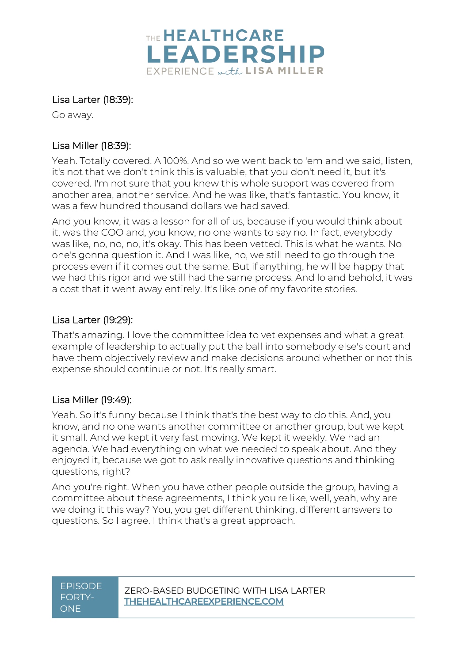

### Lisa Larter (18:39):

Go away.

### Lisa Miller (18:39):

Yeah. Totally covered. A 100%. And so we went back to 'em and we said, listen, it's not that we don't think this is valuable, that you don't need it, but it's covered. I'm not sure that you knew this whole support was covered from another area, another service. And he was like, that's fantastic. You know, it was a few hundred thousand dollars we had saved.

And you know, it was a lesson for all of us, because if you would think about it, was the COO and, you know, no one wants to say no. In fact, everybody was like, no, no, no, it's okay. This has been vetted. This is what he wants. No one's gonna question it. And I was like, no, we still need to go through the process even if it comes out the same. But if anything, he will be happy that we had this rigor and we still had the same process. And lo and behold, it was a cost that it went away entirely. It's like one of my favorite stories.

### Lisa Larter (19:29):

That's amazing. I love the committee idea to vet expenses and what a great example of leadership to actually put the ball into somebody else's court and have them objectively review and make decisions around whether or not this expense should continue or not. It's really smart.

# Lisa Miller (19:49):

Yeah. So it's funny because I think that's the best way to do this. And, you know, and no one wants another committee or another group, but we kept it small. And we kept it very fast moving. We kept it weekly. We had an agenda. We had everything on what we needed to speak about. And they enjoyed it, because we got to ask really innovative questions and thinking questions, right?

And you're right. When you have other people outside the group, having a committee about these agreements, I think you're like, well, yeah, why are we doing it this way? You, you get different thinking, different answers to questions. So I agree. I think that's a great approach.

# FORTY-**ONE**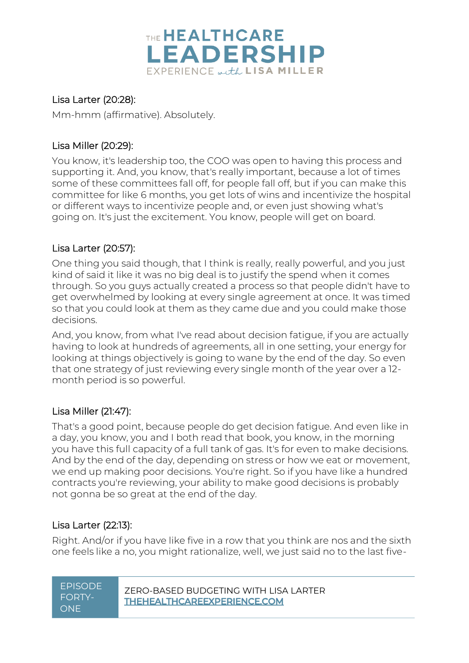

### Lisa Larter (20:28):

Mm-hmm (affirmative). Absolutely.

### Lisa Miller (20:29):

You know, it's leadership too, the COO was open to having this process and supporting it. And, you know, that's really important, because a lot of times some of these committees fall off, for people fall off, but if you can make this committee for like 6 months, you get lots of wins and incentivize the hospital or different ways to incentivize people and, or even just showing what's going on. It's just the excitement. You know, people will get on board.

# Lisa Larter (20:57):

One thing you said though, that I think is really, really powerful, and you just kind of said it like it was no big deal is to justify the spend when it comes through. So you guys actually created a process so that people didn't have to get overwhelmed by looking at every single agreement at once. It was timed so that you could look at them as they came due and you could make those decisions.

And, you know, from what I've read about decision fatigue, if you are actually having to look at hundreds of agreements, all in one setting, your energy for looking at things objectively is going to wane by the end of the day. So even that one strategy of just reviewing every single month of the year over a 12 month period is so powerful.

### Lisa Miller (21:47):

That's a good point, because people do get decision fatigue. And even like in a day, you know, you and I both read that book, you know, in the morning you have this full capacity of a full tank of gas. It's for even to make decisions. And by the end of the day, depending on stress or how we eat or movement, we end up making poor decisions. You're right. So if you have like a hundred contracts you're reviewing, your ability to make good decisions is probably not gonna be so great at the end of the day.

# Lisa Larter (22:13):

E<br>F

Right. And/or if you have like five in a row that you think are nos and the sixth one feels like a no, you might rationalize, well, we just said no to the last five-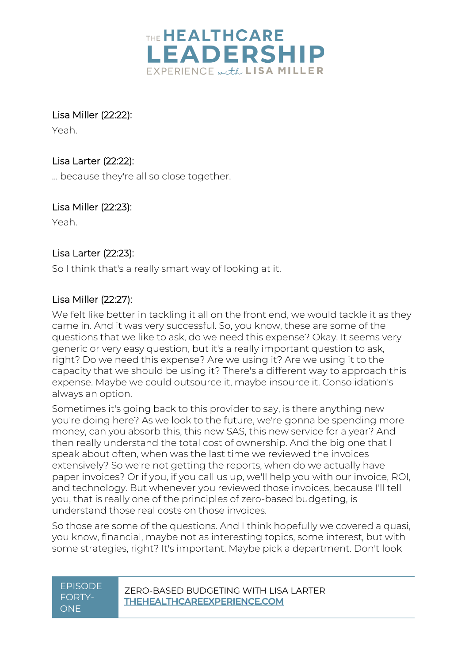

Lisa Miller (22:22):

Yeah.

# Lisa Larter (22:22):

... because they're all so close together.

# Lisa Miller (22:23):

Yeah.

# Lisa Larter (22:23):

So I think that's a really smart way of looking at it.

# Lisa Miller (22:27):

We felt like better in tackling it all on the front end, we would tackle it as they came in. And it was very successful. So, you know, these are some of the questions that we like to ask, do we need this expense? Okay. It seems very generic or very easy question, but it's a really important question to ask, right? Do we need this expense? Are we using it? Are we using it to the capacity that we should be using it? There's a different way to approach this expense. Maybe we could outsource it, maybe insource it. Consolidation's always an option.

Sometimes it's going back to this provider to say, is there anything new you're doing here? As we look to the future, we're gonna be spending more money, can you absorb this, this new SAS, this new service for a year? And then really understand the total cost of ownership. And the big one that I speak about often, when was the last time we reviewed the invoices extensively? So we're not getting the reports, when do we actually have paper invoices? Or if you, if you call us up, we'll help you with our invoice, ROI, and technology. But whenever you reviewed those invoices, because I'll tell you, that is really one of the principles of zero-based budgeting, is understand those real costs on those invoices.

So those are some of the questions. And I think hopefully we covered a quasi, you know, financial, maybe not as interesting topics, some interest, but with some strategies, right? It's important. Maybe pick a department. Don't look

# FORTY-**ONE**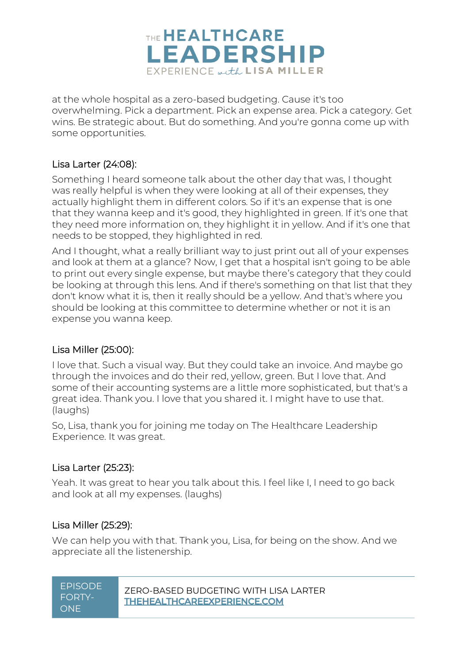

at the whole hospital as a zero-based budgeting. Cause it's too overwhelming. Pick a department. Pick an expense area. Pick a category. Get wins. Be strategic about. But do something. And you're gonna come up with some opportunities.

### Lisa Larter (24:08):

Something I heard someone talk about the other day that was, I thought was really helpful is when they were looking at all of their expenses, they actually highlight them in different colors. So if it's an expense that is one that they wanna keep and it's good, they highlighted in green. If it's one that they need more information on, they highlight it in yellow. And if it's one that needs to be stopped, they highlighted in red.

And I thought, what a really brilliant way to just print out all of your expenses and look at them at a glance? Now, I get that a hospital isn't going to be able to print out every single expense, but maybe there's category that they could be looking at through this lens. And if there's something on that list that they don't know what it is, then it really should be a yellow. And that's where you should be looking at this committee to determine whether or not it is an expense you wanna keep.

### Lisa Miller (25:00):

I love that. Such a visual way. But they could take an invoice. And maybe go through the invoices and do their red, yellow, green. But I love that. And some of their accounting systems are a little more sophisticated, but that's a great idea. Thank you. I love that you shared it. I might have to use that. (laughs)

So, Lisa, thank you for joining me today on The Healthcare Leadership Experience. It was great.

### Lisa Larter (25:23):

Yeah. It was great to hear you talk about this. I feel like I, I need to go back and look at all my expenses. (laughs)

### Lisa Miller (25:29):

We can help you with that. Thank you, Lisa, for being on the show. And we appreciate all the listenership.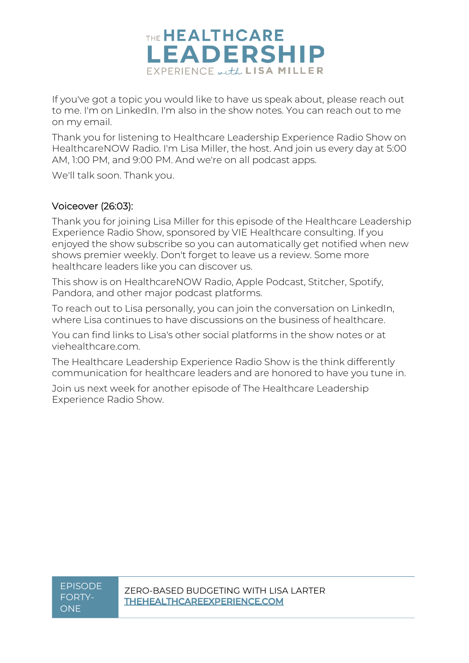

If you've got a topic you would like to have us speak about, please reach out to me. I'm on LinkedIn. I'm also in the show notes. You can reach out to me on my email.

Thank you for listening to Healthcare Leadership Experience Radio Show on HealthcareNOW Radio. I'm Lisa Miller, the host. And join us every day at 5:00 AM, 1:00 PM, and 9:00 PM. And we're on all podcast apps.

We'll talk soon. Thank you.

### Voiceover (26:03):

Thank you for joining Lisa Miller for this episode of the Healthcare Leadership Experience Radio Show, sponsored by VIE Healthcare consulting. If you enjoyed the show subscribe so you can automatically get notified when new shows premier weekly. Don't forget to leave us a review. Some more healthcare leaders like you can discover us.

This show is on HealthcareNOW Radio, Apple Podcast, Stitcher, Spotify, Pandora, and other major podcast platforms.

To reach out to Lisa personally, you can join the conversation on LinkedIn, where Lisa continues to have discussions on the business of healthcare.

You can find links to Lisa's other social platforms in the show notes or at viehealthcare.com.

The Healthcare Leadership Experience Radio Show is the think differently communication for healthcare leaders and are honored to have you tune in.

Join us next week for another episode of The Healthcare Leadership Experience Radio Show.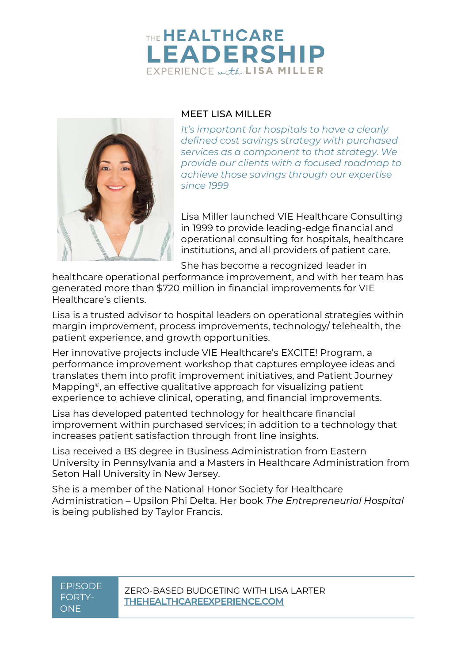# THE HEALTHCARE **LEADERSHIP** EXPERIENCE with LISA MILLER



#### MEET LISA MILLER

*It's important for hospitals to have a clearly defined cost savings strategy with purchased services as a component to that strategy. We provide our clients with a focused roadmap to achieve those savings through our expertise since 1999*

Lisa Miller launched VIE Healthcare Consulting in 1999 to provide leading-edge financial and operational consulting for hospitals, healthcare institutions, and all providers of patient care.

She has become a recognized leader in

healthcare operational performance improvement, and with her team has generated more than \$720 million in financial improvements for VIE Healthcare's clients.

Lisa is a trusted advisor to hospital leaders on operational strategies within margin improvement, process improvements, technology/ telehealth, the patient experience, and growth opportunities.

Her innovative projects include VIE Healthcare's EXCITE! Program, a performance improvement workshop that captures employee ideas and translates them into profit improvement initiatives, and Patient Journey Mapping®, an effective qualitative approach for visualizing patient experience to achieve clinical, operating, and financial improvements.

Lisa has developed patented technology for healthcare financial improvement within purchased services; in addition to a technology that increases patient satisfaction through front line insights.

Lisa received a BS degree in Business Administration from Eastern University in Pennsylvania and a Masters in Healthcare Administration from Seton Hall University in New Jersey.

She is a member of the National Honor Society for Healthcare Administration – Upsilon Phi Delta. Her book *The Entrepreneurial Hospital* is being published by Taylor Francis.

# FORTY-**ONE**